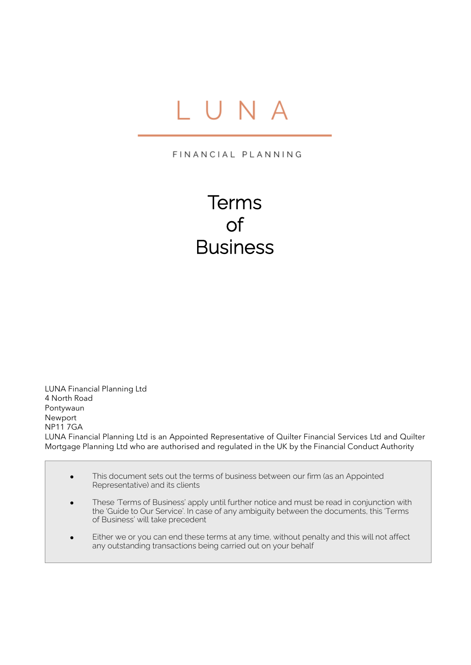# IUNA

FINANCIAL PLANNING

Terms of **Business** 

LUNA Financial Planning Ltd 4 North Road Pontywaun Newport NP11 7GA LUNA Financial Planning Ltd is an Appointed Representative of Quilter Financial Services Ltd and Quilter Mortgage Planning Ltd who are authorised and regulated in the UK by the Financial Conduct Authority

• This document sets out the terms of business between our firm (as an Appointed Representative) and its clients

Ï

- These 'Terms of Business' apply until further notice and must be read in conjunction with the 'Guide to Our Service'. In case of any ambiguity between the documents, this 'Terms of Business' will take precedent
- Either we or you can end these terms at any time, without penalty and this will not affect any outstanding transactions being carried out on your behalf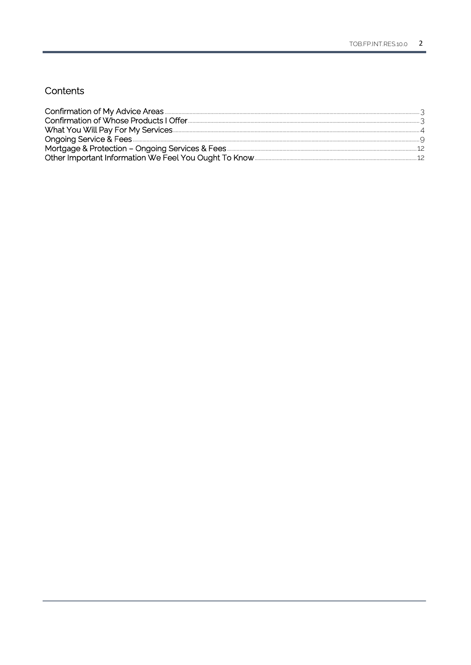# Contents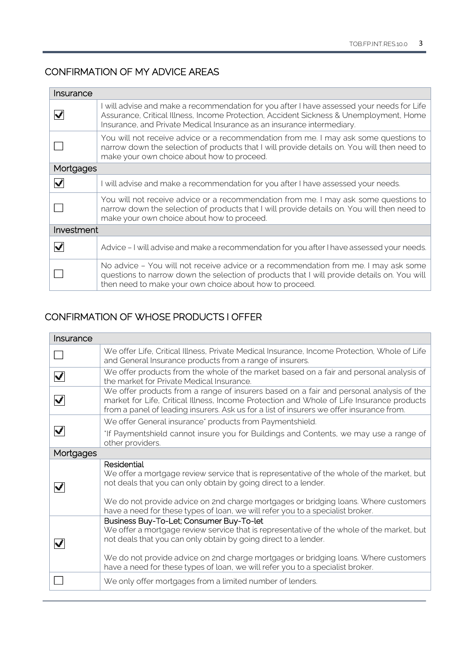# <span id="page-2-0"></span>CONFIRMATION OF MY ADVICE AREAS

| Insurance           |                                                                                                                                                                                                                                                               |
|---------------------|---------------------------------------------------------------------------------------------------------------------------------------------------------------------------------------------------------------------------------------------------------------|
| $\vert \cdot \vert$ | I will advise and make a recommendation for you after I have assessed your needs for Life<br>Assurance, Critical Illness, Income Protection, Accident Sickness & Unemployment, Home<br>Insurance, and Private Medical Insurance as an insurance intermediary. |
|                     | You will not receive advice or a recommendation from me. I may ask some questions to<br>narrow down the selection of products that I will provide details on. You will then need to<br>make your own choice about how to proceed.                             |
| Mortgages           |                                                                                                                                                                                                                                                               |
|                     | I will advise and make a recommendation for you after I have assessed your needs.                                                                                                                                                                             |
|                     | You will not receive advice or a recommendation from me. I may ask some questions to<br>narrow down the selection of products that I will provide details on. You will then need to<br>make your own choice about how to proceed.                             |
| Investment          |                                                                                                                                                                                                                                                               |
|                     | Advice – I will advise and make a recommendation for you after I have assessed your needs.                                                                                                                                                                    |
|                     | No advice - You will not receive advice or a recommendation from me. I may ask some<br>questions to narrow down the selection of products that I will provide details on. You will<br>then need to make your own choice about how to proceed.                 |

# <span id="page-2-1"></span>CONFIRMATION OF WHOSE PRODUCTS I OFFER

| Insurance                                |                                                                                                                                                                                                                                                                                                                                                                                   |
|------------------------------------------|-----------------------------------------------------------------------------------------------------------------------------------------------------------------------------------------------------------------------------------------------------------------------------------------------------------------------------------------------------------------------------------|
|                                          | We offer Life, Critical Illness, Private Medical Insurance, Income Protection, Whole of Life<br>and General Insurance products from a range of insurers.                                                                                                                                                                                                                          |
| $\blacktriangledown$                     | We offer products from the whole of the market based on a fair and personal analysis of<br>the market for Private Medical Insurance.                                                                                                                                                                                                                                              |
| $\left  \boldsymbol{\mathsf{v}} \right $ | We offer products from a range of insurers based on a fair and personal analysis of the<br>market for Life, Critical Illness, Income Protection and Whole of Life Insurance products<br>from a panel of leading insurers. Ask us for a list of insurers we offer insurance from.                                                                                                  |
|                                          | We offer General insurance* products from Paymentshield.                                                                                                                                                                                                                                                                                                                          |
| V                                        | 'If Paymentshield cannot insure you for Buildings and Contents, we may use a range of<br>other providers.                                                                                                                                                                                                                                                                         |
| Mortgages                                |                                                                                                                                                                                                                                                                                                                                                                                   |
| W                                        | Residential<br>We offer a mortgage review service that is representative of the whole of the market, but<br>not deals that you can only obtain by going direct to a lender.                                                                                                                                                                                                       |
|                                          | We do not provide advice on 2nd charge mortgages or bridging loans. Where customers<br>have a need for these types of loan, we will refer you to a specialist broker.                                                                                                                                                                                                             |
| M                                        | Business Buy-To-Let; Consumer Buy-To-let<br>We offer a mortgage review service that is representative of the whole of the market, but<br>not deals that you can only obtain by going direct to a lender.<br>We do not provide advice on 2nd charge mortgages or bridging loans. Where customers<br>have a need for these types of loan, we will refer you to a specialist broker. |
|                                          | We only offer mortgages from a limited number of lenders.                                                                                                                                                                                                                                                                                                                         |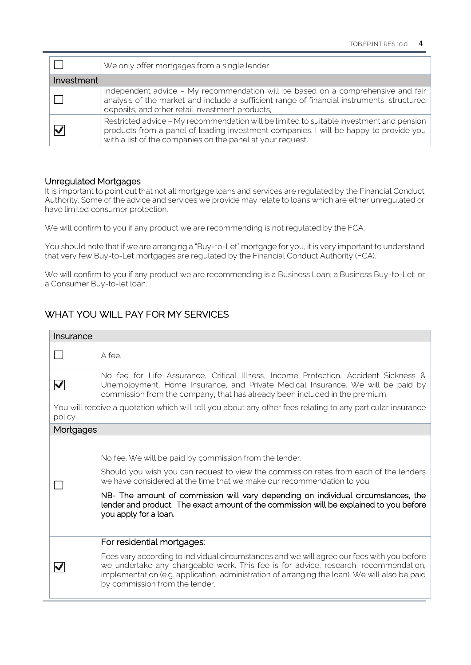|                             | We only offer mortgages from a single lender                                                                                                                                                                                                    |
|-----------------------------|-------------------------------------------------------------------------------------------------------------------------------------------------------------------------------------------------------------------------------------------------|
| Investment                  |                                                                                                                                                                                                                                                 |
|                             | Independent advice - My recommendation will be based on a comprehensive and fair<br>analysis of the market and include a sufficient range of financial instruments, structured<br>deposits, and other retail investment products.               |
| $\left  \centerdot \right $ | Restricted advice - My recommendation will be limited to suitable investment and pension<br>products from a panel of leading investment companies. I will be happy to provide you<br>with a list of the companies on the panel at your request. |

#### Unregulated Mortgages

It is important to point out that not all mortgage loans and services are regulated by the Financial Conduct Authority. Some of the advice and services we provide may relate to loans which are either unregulated or have limited consumer protection.

We will confirm to you if any product we are recommending is not regulated by the FCA.

You should note that if we are arranging a "Buy-to-Let" mortgage for you, it is very important to understand that very few Buy-to-Let mortgages are regulated by the Financial Conduct Authority (FCA).

We will confirm to you if any product we are recommending is a Business Loan; a Business Buy-to-Let; or a Consumer Buy-to-let loan.

# <span id="page-3-0"></span>WHAT YOU WILL PAY FOR MY SERVICES

| Insurance             |                                                                                                                                                                                                                                                                                                                                                                                                                                   |
|-----------------------|-----------------------------------------------------------------------------------------------------------------------------------------------------------------------------------------------------------------------------------------------------------------------------------------------------------------------------------------------------------------------------------------------------------------------------------|
|                       | A fee.                                                                                                                                                                                                                                                                                                                                                                                                                            |
| $\blacktriangleright$ | No fee for Life Assurance, Critical Illness, Income Protection, Accident Sickness &<br>Unemployment, Home Insurance, and Private Medical Insurance. We will be paid by<br>commission from the company, that has already been included in the premium.                                                                                                                                                                             |
| policy.               | You will receive a quotation which will tell you about any other fees relating to any particular insurance                                                                                                                                                                                                                                                                                                                        |
| Mortgages             |                                                                                                                                                                                                                                                                                                                                                                                                                                   |
|                       | No fee. We will be paid by commission from the lender.<br>Should you wish you can request to view the commission rates from each of the lenders<br>we have considered at the time that we make our recommendation to you.<br>NB- The amount of commission will vary depending on individual circumstances, the<br>lender and product. The exact amount of the commission will be explained to you before<br>you apply for a loan. |
|                       | For residential mortgages:<br>Fees vary according to individual circumstances and we will agree our fees with you before<br>we undertake any chargeable work. This fee is for advice, research, recommendation,<br>implementation (e.g. application, administration of arranging the loan). We will also be paid<br>by commission from the lender.                                                                                |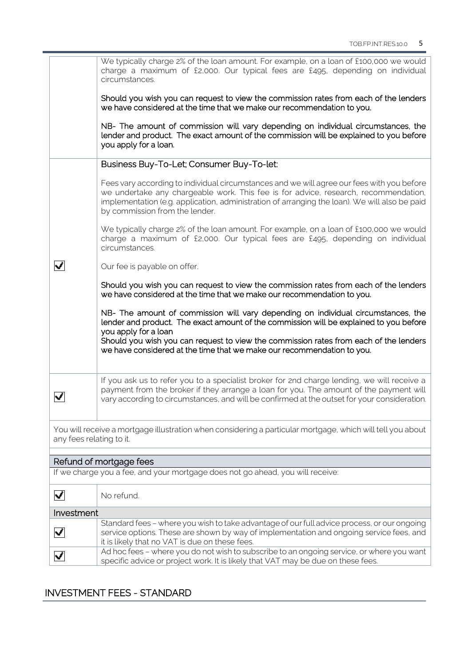|                          | We typically charge 2% of the loan amount. For example, on a loan of £100,000 we would<br>charge a maximum of £2,000. Our typical fees are £495, depending on individual<br>circumstances.                                                                                                                                                                             |
|--------------------------|------------------------------------------------------------------------------------------------------------------------------------------------------------------------------------------------------------------------------------------------------------------------------------------------------------------------------------------------------------------------|
|                          | Should you wish you can request to view the commission rates from each of the lenders<br>we have considered at the time that we make our recommendation to you.                                                                                                                                                                                                        |
|                          | NB- The amount of commission will vary depending on individual circumstances, the<br>lender and product. The exact amount of the commission will be explained to you before<br>you apply for a loan.                                                                                                                                                                   |
|                          | Business Buy-To-Let; Consumer Buy-To-let:                                                                                                                                                                                                                                                                                                                              |
|                          | Fees vary according to individual circumstances and we will agree our fees with you before<br>we undertake any chargeable work. This fee is for advice, research, recommendation,<br>implementation (e.g. application, administration of arranging the loan). We will also be paid<br>by commission from the lender.                                                   |
|                          | We typically charge 2% of the loan amount. For example, on a loan of £100,000 we would<br>charge a maximum of £2,000. Our typical fees are £495, depending on individual<br>circumstances.                                                                                                                                                                             |
|                          | Our fee is payable on offer.                                                                                                                                                                                                                                                                                                                                           |
|                          | Should you wish you can request to view the commission rates from each of the lenders<br>we have considered at the time that we make our recommendation to you.                                                                                                                                                                                                        |
|                          | NB- The amount of commission will vary depending on individual circumstances, the<br>lender and product. The exact amount of the commission will be explained to you before<br>you apply for a loan<br>Should you wish you can request to view the commission rates from each of the lenders<br>we have considered at the time that we make our recommendation to you. |
|                          | If you ask us to refer you to a specialist broker for 2nd charge lending, we will receive a<br>payment from the broker if they arrange a loan for you. The amount of the payment will<br>vary according to circumstances, and will be confirmed at the outset for your consideration.                                                                                  |
| any fees relating to it. | You will receive a mortgage illustration when considering a particular mortgage, which will tell you about                                                                                                                                                                                                                                                             |
|                          | Refund of mortgage fees                                                                                                                                                                                                                                                                                                                                                |
|                          | If we charge you a fee, and your mortgage does not go ahead, you will receive:                                                                                                                                                                                                                                                                                         |
| $\overline{\phantom{a}}$ | No refund.                                                                                                                                                                                                                                                                                                                                                             |
| Investment               |                                                                                                                                                                                                                                                                                                                                                                        |
| $\overline{\phantom{a}}$ | Standard fees - where you wish to take advantage of our full advice process, or our ongoing<br>service options. These are shown by way of implementation and ongoing service fees, and<br>it is likely that no VAT is due on these fees.                                                                                                                               |
| $\blacktriangledown$     | Ad hoc fees - where you do not wish to subscribe to an ongoing service, or where you want<br>specific advice or project work. It is likely that VAT may be due on these fees.                                                                                                                                                                                          |

specific advice or project work. It is likely that VAT may be due on these fees.

# INVESTMENT FEES - STANDARD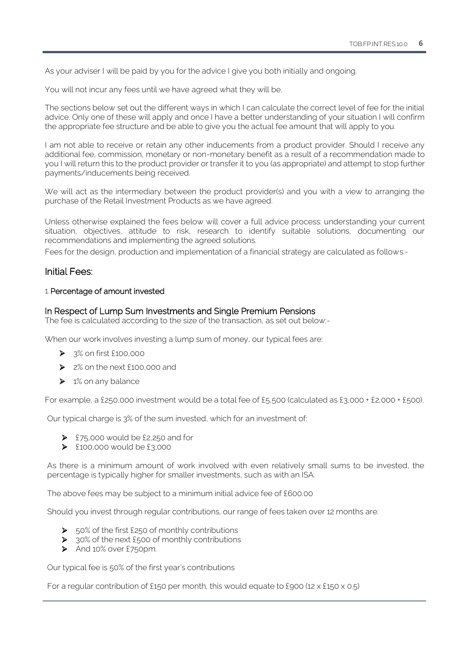As your adviser I will be paid by you for the advice I give you both initially and ongoing.

You will not incur any fees until we have agreed what they will be.

The sections below set out the different ways in which I can calculate the correct level of fee for the initial advice. Only one of these will apply and once I have a better understanding of your situation I will confirm the appropriate fee structure and be able to give you the actual fee amount that will apply to you.

I am not able to receive or retain any other inducements from a product provider. Should I receive any additional fee, commission, monetary or non-monetary benefit as a result of a recommendation made to you I will return this to the product provider or transfer it to you (as appropriate) and attempt to stop further payments/inducements being received.

We will act as the intermediary between the product provider(s) and you with a view to arranging the purchase of the Retail Investment Products as we have agreed.

Unless otherwise explained the fees below will cover a full advice process: understanding your current situation, objectives, attitude to risk, research to identify suitable solutions, documenting our recommendations and implementing the agreed solutions.

Fees for the design, production and implementation of a financial strategy are calculated as follows:-

## Initial Fees:

#### 1.Percentage of amount invested

#### In Respect of Lump Sum Investments and Single Premium Pensions

The fee is calculated according to the size of the transaction, as set out below:-

When our work involves investing a lump sum of money, our typical fees are:

- ➢ 3% on first £100,000
- ➢ 2% on the next £100,000 and
- $\triangleright$  1% on any balance

For example, a £250,000 investment would be a total fee of £5,500 (calculated as £3,000 + £2,000 + £500).

Our typical charge is 3% of the sum invested, which for an investment of:

- $\triangleright$  £75,000 would be £2,250 and for
- $\geq$  £100,000 would be £3,000

As there is a minimum amount of work involved with even relatively small sums to be invested, the percentage is typically higher for smaller investments, such as with an ISA.

The above fees may be subject to a minimum initial advice fee of £600.00

Should you invest through regular contributions, our range of fees taken over 12 months are:

- ➢ 50% of the first £250 of monthly contributions
- ➢ 30% of the next £500 of monthly contributions
- ➢ And 10% over £750pm.

Our typical fee is 50% of the first year's contributions

For a regular contribution of £150 per month, this would equate to £900 (12 x £150 x 0.5)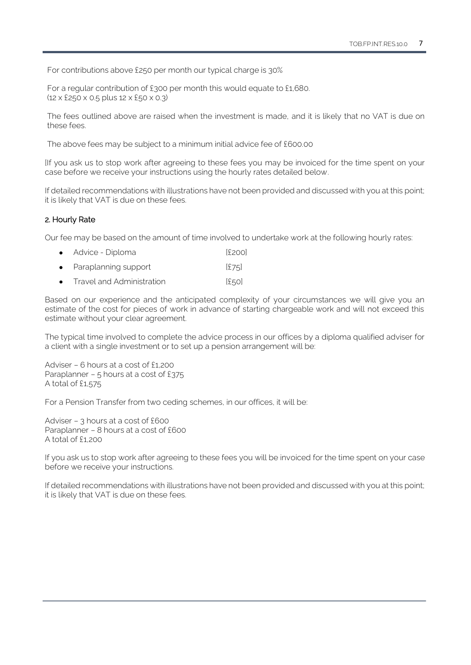For contributions above £250 per month our typical charge is 30%

For a regular contribution of £300 per month this would equate to £1,680. (12 x £250 x 0.5 plus 12 x £50 x 0.3)

The fees outlined above are raised when the investment is made, and it is likely that no VAT is due on these fees.

The above fees may be subject to a minimum initial advice fee of £600.00

[If you ask us to stop work after agreeing to these fees you may be invoiced for the time spent on your case before we receive your instructions using the hourly rates detailed below.

If detailed recommendations with illustrations have not been provided and discussed with you at this point; it is likely that VAT is due on these fees.

#### 2.Hourly Rate

Our fee may be based on the amount of time involved to undertake work at the following hourly rates:

- Advice Diploma (£200]
- Paraplanning support [£75]
- Travel and Administration [£50]

Based on our experience and the anticipated complexity of your circumstances we will give you an estimate of the cost for pieces of work in advance of starting chargeable work and will not exceed this estimate without your clear agreement.

The typical time involved to complete the advice process in our offices by a diploma qualified adviser for a client with a single investment or to set up a pension arrangement will be:

Adviser – 6 hours at a cost of £1,200 Paraplanner – 5 hours at a cost of £375 A total of £1,575

For a Pension Transfer from two ceding schemes, in our offices, it will be:

Adviser – 3 hours at a cost of £600 Paraplanner – 8 hours at a cost of £600 A total of  $f1,200$ 

If you ask us to stop work after agreeing to these fees you will be invoiced for the time spent on your case before we receive your instructions.

If detailed recommendations with illustrations have not been provided and discussed with you at this point; it is likely that VAT is due on these fees.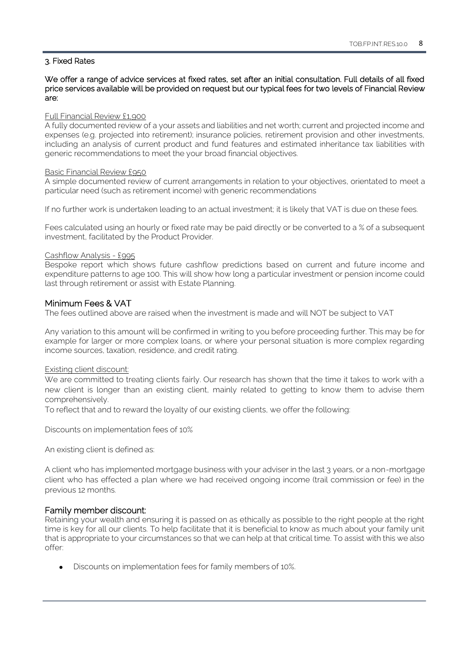#### 3. Fixed Rates

#### We offer a range of advice services at fixed rates, set after an initial consultation. Full details of all fixed price services available will be provided on request but our typical fees for two levels of Financial Review are:

#### Full Financial Review £1,900

A fully documented review of a your assets and liabilities and net worth; current and projected income and expenses (e.g. projected into retirement); insurance policies, retirement provision and other investments, including an analysis of current product and fund features and estimated inheritance tax liabilities with generic recommendations to meet the your broad financial objectives.

#### Basic Financial Review £950

A simple documented review of current arrangements in relation to your objectives, orientated to meet a particular need (such as retirement income) with generic recommendations

If no further work is undertaken leading to an actual investment; it is likely that VAT is due on these fees.

Fees calculated using an hourly or fixed rate may be paid directly or be converted to a % of a subsequent investment, facilitated by the Product Provider.

#### Cashflow Analysis - £995

Bespoke report which shows future cashflow predictions based on current and future income and expenditure patterns to age 100. This will show how long a particular investment or pension income could last through retirement or assist with Estate Planning.

#### Minimum Fees & VAT

The fees outlined above are raised when the investment is made and will NOT be subject to VAT

Any variation to this amount will be confirmed in writing to you before proceeding further. This may be for example for larger or more complex loans, or where your personal situation is more complex regarding income sources, taxation, residence, and credit rating.

#### Existing client discount:

We are committed to treating clients fairly. Our research has shown that the time it takes to work with a new client is longer than an existing client, mainly related to getting to know them to advise them comprehensively.

To reflect that and to reward the loyalty of our existing clients, we offer the following:

Discounts on implementation fees of 10%

An existing client is defined as:

A client who has implemented mortgage business with your adviser in the last 3 years, or a non-mortgage client who has effected a plan where we had received ongoing income (trail commission or fee) in the previous 12 months.

#### Family member discount:

Retaining your wealth and ensuring it is passed on as ethically as possible to the right people at the right time is key for all our clients. To help facilitate that it is beneficial to know as much about your family unit that is appropriate to your circumstances so that we can help at that critical time. To assist with this we also offer:

• Discounts on implementation fees for family members of 10%.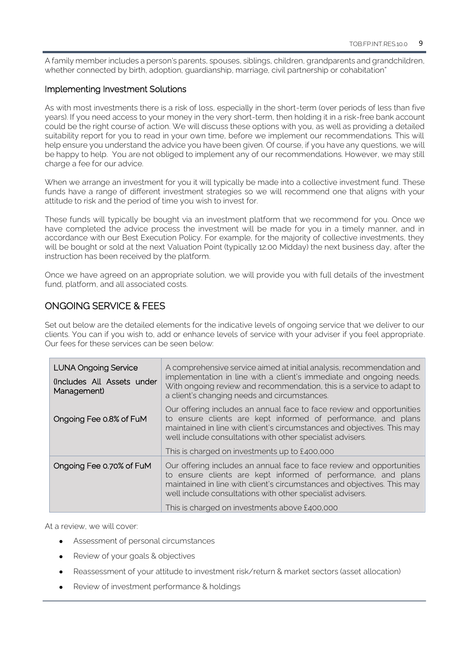A family member includes a person's parents, spouses, siblings, children, grandparents and grandchildren, whether connected by birth, adoption, guardianship, marriage, civil partnership or cohabitation"

## Implementing Investment Solutions

As with most investments there is a risk of loss, especially in the short-term (over periods of less than five years). If you need access to your money in the very short-term, then holding it in a risk-free bank account could be the right course of action. We will discuss these options with you, as well as providing a detailed suitability report for you to read in your own time, before we implement our recommendations. This will help ensure you understand the advice you have been given. Of course, if you have any questions, we will be happy to help. You are not obliged to implement any of our recommendations. However, we may still charge a fee for our advice.

When we arrange an investment for you it will typically be made into a collective investment fund. These funds have a range of different investment strategies so we will recommend one that aligns with your attitude to risk and the period of time you wish to invest for.

These funds will typically be bought via an investment platform that we recommend for you. Once we have completed the advice process the investment will be made for you in a timely manner, and in accordance with our Best Execution Policy. For example, for the majority of collective investments, they will be bought or sold at the next Valuation Point (typically 12.00 Midday) the next business day, after the instruction has been received by the platform.

Once we have agreed on an appropriate solution, we will provide you with full details of the investment fund, platform, and all associated costs.

# <span id="page-8-0"></span>ONGOING SERVICE & FEES

Set out below are the detailed elements for the indicative levels of ongoing service that we deliver to our clients. You can if you wish to, add or enhance levels of service with your adviser if you feel appropriate. Our fees for these services can be seen below:

| <b>LUNA Ongoing Service</b><br>(Includes All Assets under<br>Management) | A comprehensive service aimed at initial analysis, recommendation and<br>implementation in line with a client's immediate and ongoing needs.<br>With ongoing review and recommendation, this is a service to adapt to<br>a client's changing needs and circumstances.                                                            |
|--------------------------------------------------------------------------|----------------------------------------------------------------------------------------------------------------------------------------------------------------------------------------------------------------------------------------------------------------------------------------------------------------------------------|
| Ongoing Fee 0.8% of FuM                                                  | Our offering includes an annual face to face review and opportunities<br>to ensure clients are kept informed of performance, and plans<br>maintained in line with client's circumstances and objectives. This may<br>well include consultations with other specialist advisers.<br>This is charged on investments up to £400,000 |
| Ongoing Fee 0.70% of FuM                                                 | Our offering includes an annual face to face review and opportunities<br>to ensure clients are kept informed of performance, and plans<br>maintained in line with client's circumstances and objectives. This may<br>well include consultations with other specialist advisers.<br>This is charged on investments above £400,000 |

At a review, we will cover:

- Assessment of personal circumstances
- Review of your goals & objectives
- Reassessment of your attitude to investment risk/return & market sectors (asset allocation)
- Review of investment performance & holdings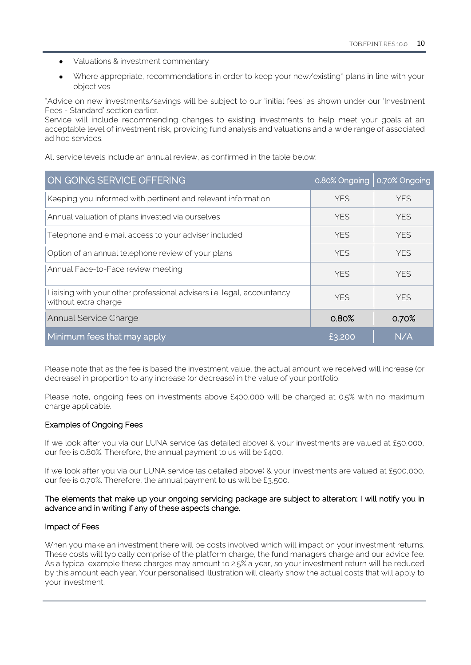- Valuations & investment commentary
- Where appropriate, recommendations in order to keep your new/existing\* plans in line with your objectives

\*Advice on new investments/savings will be subject to our 'initial fees' as shown under our 'Investment Fees - Standard' section earlier.

Service will include recommending changes to existing investments to help meet your goals at an acceptable level of investment risk, providing fund analysis and valuations and a wide range of associated ad hoc services.

All service levels include an annual review, as confirmed in the table below:

| ON GOING SERVICE OFFERING                                                                      | 0.80% Ongoing | 0.70% Ongoing |
|------------------------------------------------------------------------------------------------|---------------|---------------|
| Keeping you informed with pertinent and relevant information                                   | <b>YES</b>    | <b>YES</b>    |
| Annual valuation of plans invested via ourselves                                               | <b>YES</b>    | <b>YES</b>    |
| Telephone and e mail access to your adviser included                                           | <b>YES</b>    | <b>YFS</b>    |
| Option of an annual telephone review of your plans                                             | <b>YES</b>    | <b>YES</b>    |
| Annual Face-to-Face review meeting                                                             | <b>YFS</b>    | <b>YFS</b>    |
| Liaising with your other professional advisers i.e. legal, accountancy<br>without extra charge | <b>YFS</b>    | <b>YFS</b>    |
| <b>Annual Service Charge</b>                                                                   | 0.80%         | 0.70%         |
| Minimum fees that may apply                                                                    | £3.200        | N/A           |

Please note that as the fee is based the investment value, the actual amount we received will increase (or decrease) in proportion to any increase (or decrease) in the value of your portfolio.

Please note, ongoing fees on investments above £400,000 will be charged at 0.5% with no maximum charge applicable.

#### Examples of Ongoing Fees

If we look after you via our LUNA service (as detailed above) & your investments are valued at £50,000, our fee is 0.80%. Therefore, the annual payment to us will be £400.

If we look after you via our LUNA service (as detailed above) & your investments are valued at £500,000, our fee is 0.70%. Therefore, the annual payment to us will be £3,500.

#### The elements that make up your ongoing servicing package are subject to alteration; I will notify you in advance and in writing if any of these aspects change.

#### Impact of Fees

When you make an investment there will be costs involved which will impact on your investment returns. These costs will typically comprise of the platform charge, the fund managers charge and our advice fee. As a typical example these charges may amount to 2.5% a year, so your investment return will be reduced by this amount each year. Your personalised illustration will clearly show the actual costs that will apply to your investment.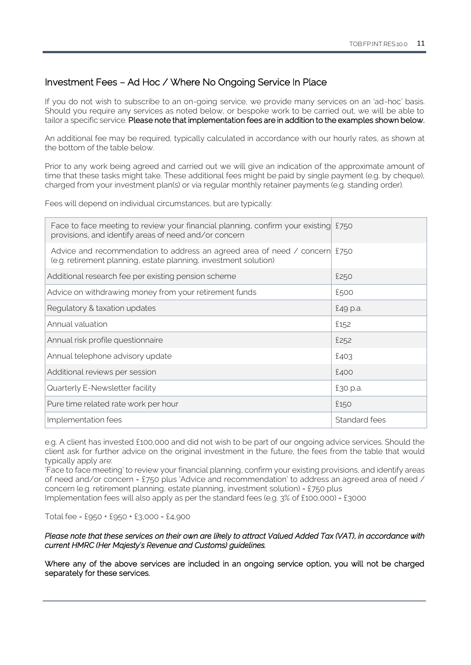# Investment Fees – Ad Hoc / Where No Ongoing Service In Place

If you do not wish to subscribe to an on-going service, we provide many services on an 'ad-hoc' basis. Should you require any services as noted below, or bespoke work to be carried out, we will be able to tailor a specific service. Please note that implementation fees are in addition to the examples shown below.

An additional fee may be required, typically calculated in accordance with our hourly rates, as shown at the bottom of the table below.

Prior to any work being agreed and carried out we will give an indication of the approximate amount of time that these tasks might take. These additional fees might be paid by single payment (e.g. by cheque), charged from your investment plan(s) or via regular monthly retainer payments (e.g. standing order).

Fees will depend on individual circumstances, but are typically:

| Face to face meeting to review your financial planning, confirm your existing £750<br>provisions, and identify areas of need and/or concern    |               |
|------------------------------------------------------------------------------------------------------------------------------------------------|---------------|
| Advice and recommendation to address an agreed area of need / concern £750<br>(e.g. retirement planning, estate planning, investment solution) |               |
| Additional research fee per existing pension scheme                                                                                            | £250          |
| Advice on withdrawing money from your retirement funds                                                                                         | £500          |
| Regulatory & taxation updates                                                                                                                  | £49 p.a.      |
| Annual valuation                                                                                                                               | £152          |
| Annual risk profile questionnaire                                                                                                              | £252          |
| Annual telephone advisory update                                                                                                               | £403          |
| Additional reviews per session                                                                                                                 | £400          |
| Quarterly E-Newsletter facility                                                                                                                | £30 p.a.      |
| Pure time related rate work per hour                                                                                                           | £150          |
| Implementation fees                                                                                                                            | Standard fees |

e.g. A client has invested £100,000 and did not wish to be part of our ongoing advice services. Should the client ask for further advice on the original investment in the future, the fees from the table that would typically apply are:

'Face to face meeting' to review your financial planning, confirm your existing provisions, and identify areas of need and/or concern = £750 plus 'Advice and recommendation' to address an agreed area of need / concern (e.g. retirement planning, estate planning, investment solution) = £750 plus

Implementation fees will also apply as per the standard fees (e.g. 3% of £100,000) = £3000

Total fee = £950 + £950 + £3,000 = £4,900

#### *Please note that these services on their own are likely to attract Valued Added Tax (VAT), in accordance with current HMRC (Her Majesty's Revenue and Customs) guidelines.*

Where any of the above services are included in an ongoing service option, you will not be charged separately for these services.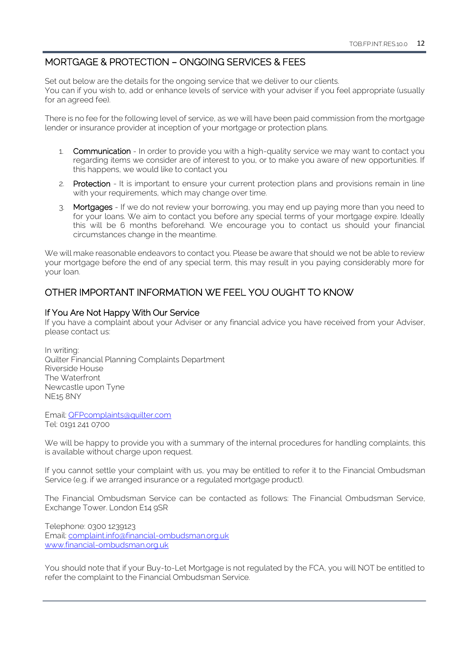# <span id="page-11-0"></span>MORTGAGE & PROTECTION – ONGOING SERVICES & FEES

Set out below are the details for the ongoing service that we deliver to our clients. You can if you wish to, add or enhance levels of service with your adviser if you feel appropriate (usually for an agreed fee).

There is no fee for the following level of service, as we will have been paid commission from the mortgage lender or insurance provider at inception of your mortgage or protection plans.

- 1. Communication In order to provide you with a high-quality service we may want to contact you regarding items we consider are of interest to you, or to make you aware of new opportunities. If this happens, we would like to contact you
- 2. Protection It is important to ensure your current protection plans and provisions remain in line with your requirements, which may change over time.
- 3. Mortgages If we do not review your borrowing, you may end up paying more than you need to for your loans. We aim to contact you before any special terms of your mortgage expire. Ideally this will be 6 months beforehand. We encourage you to contact us should your financial circumstances change in the meantime.

We will make reasonable endeavors to contact you. Please be aware that should we not be able to review your mortgage before the end of any special term, this may result in you paying considerably more for your loan.

# <span id="page-11-1"></span>OTHER IMPORTANT INFORMATION WE FEEL YOU OUGHT TO KNOW

#### If You Are Not Happy With Our Service

If you have a complaint about your Adviser or any financial advice you have received from your Adviser, please contact us:

In writing: Quilter Financial Planning Complaints Department Riverside House The Waterfront Newcastle upon Tyne NE15 8NY

Email[: QFPcomplaints@quilter.com](mailto:QFPcomplaints@quilter.com) Tel: 0191 241 0700

We will be happy to provide you with a summary of the internal procedures for handling complaints, this is available without charge upon request.

If you cannot settle your complaint with us, you may be entitled to refer it to the Financial Ombudsman Service (e.g. if we arranged insurance or a regulated mortgage product).

The Financial Ombudsman Service can be contacted as follows: The Financial Ombudsman Service, Exchange Tower. London E14 9SR

Telephone: 0300 1239123 Email: [complaint.info@financial-ombudsman.org.uk](mailto:complaint.info@financial-ombudsman.org.uk) [www.financial-ombudsman.org.uk](http://www.financial-ombudsman.org.uk/)

You should note that if your Buy-to-Let Mortgage is not regulated by the FCA, you will NOT be entitled to refer the complaint to the Financial Ombudsman Service.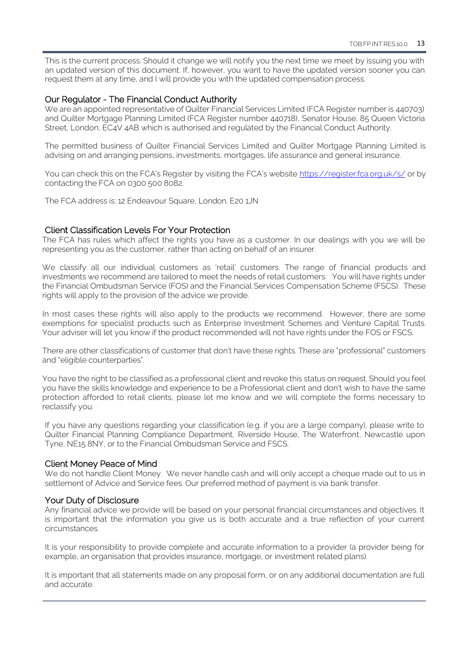This is the current process. Should it change we will notify you the next time we meet by issuing you with an updated version of this document. If, however, you want to have the updated version sooner you can request them at any time, and I will provide you with the updated compensation process.

#### Our Regulator - The Financial Conduct Authority

We are an appointed representative of Quilter Financial Services Limited (FCA Register number is 440703) and Quilter Mortgage Planning Limited (FCA Register number 440718), Senator House, 85 Queen Victoria Street, London, EC4V 4AB which is authorised and regulated by the Financial Conduct Authority.

The permitted business of Quilter Financial Services Limited and Quilter Mortgage Planning Limited is advising on and arranging pensions, investments, mortgages, life assurance and general insurance.

You can check this on the FCA's Register by visiting the FCA's website <https://register.fca.org.uk/s/> or by contacting the FCA on 0300 500 8082.

The FCA address is: 12 Endeavour Square, London. E20 1JN

#### Client Classification Levels For Your Protection

The FCA has rules which affect the rights you have as a customer. In our dealings with you we will be representing you as the customer, rather than acting on behalf of an insurer.

We classify all our individual customers as 'retail' customers. The range of financial products and investments we recommend are tailored to meet the needs of retail customers. You will have rights under the Financial Ombudsman Service (FOS) and the Financial Services Compensation Scheme (FSCS). These rights will apply to the provision of the advice we provide.

In most cases these rights will also apply to the products we recommend. However, there are some exemptions for specialist products such as Enterprise Investment Schemes and Venture Capital Trusts. Your adviser will let you know if the product recommended will not have rights under the FOS or FSCS.

There are other classifications of customer that don't have these rights. These are "professional" customers and "eligible counterparties".

You have the right to be classified as a professional client and revoke this status on request. Should you feel you have the skills knowledge and experience to be a Professional client and don't wish to have the same protection afforded to retail clients, please let me know and we will complete the forms necessary to reclassify you.

If you have any questions regarding your classification (e.g. if you are a large company), please write to Quilter Financial Planning Compliance Department, Riverside House, The Waterfront, Newcastle upon Tyne, NE15 8NY, or to the Financial Ombudsman Service and FSCS.

#### Client Money Peace of Mind

We do not handle Client Money. We never handle cash and will only accept a cheque made out to us in settlement of Advice and Service fees. Our preferred method of payment is via bank transfer.

#### Your Duty of Disclosure

Any financial advice we provide will be based on your personal financial circumstances and objectives. It is important that the information you give us is both accurate and a true reflection of your current circumstances.

It is your responsibility to provide complete and accurate information to a provider (a provider being for example, an organisation that provides insurance, mortgage, or investment related plans).

It is important that all statements made on any proposal form, or on any additional documentation are full and accurate.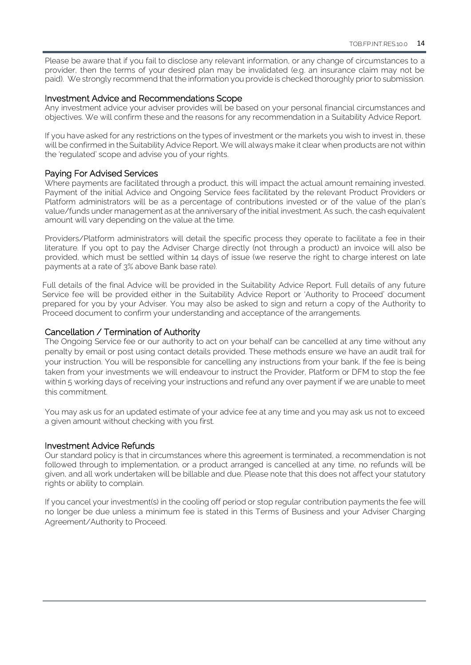Please be aware that if you fail to disclose any relevant information, or any change of circumstances to a provider, then the terms of your desired plan may be invalidated (e.g. an insurance claim may not be paid). We strongly recommend that the information you provide is checked thoroughly prior to submission.

#### Investment Advice and Recommendations Scope

Any investment advice your adviser provides will be based on your personal financial circumstances and objectives. We will confirm these and the reasons for any recommendation in a Suitability Advice Report.

If you have asked for any restrictions on the types of investment or the markets you wish to invest in, these will be confirmed in the Suitability Advice Report. We will always make it clear when products are not within the 'regulated' scope and advise you of your rights.

#### Paying For Advised Services

Where payments are facilitated through a product, this will impact the actual amount remaining invested. Payment of the initial Advice and Ongoing Service fees facilitated by the relevant Product Providers or Platform administrators will be as a percentage of contributions invested or of the value of the plan's value/funds under management as at the anniversary of the initial investment. As such, the cash equivalent amount will vary depending on the value at the time.

Providers/Platform administrators will detail the specific process they operate to facilitate a fee in their literature. If you opt to pay the Adviser Charge directly (not through a product) an invoice will also be provided, which must be settled within 14 days of issue (we reserve the right to charge interest on late payments at a rate of 3% above Bank base rate).

Full details of the final Advice will be provided in the Suitability Advice Report. Full details of any future Service fee will be provided either in the Suitability Advice Report or 'Authority to Proceed' document prepared for you by your Adviser. You may also be asked to sign and return a copy of the Authority to Proceed document to confirm your understanding and acceptance of the arrangements.

#### Cancellation / Termination of Authority

The Ongoing Service fee or our authority to act on your behalf can be cancelled at any time without any penalty by email or post using contact details provided. These methods ensure we have an audit trail for your instruction. You will be responsible for cancelling any instructions from your bank. If the fee is being taken from your investments we will endeavour to instruct the Provider, Platform or DFM to stop the fee within 5 working days of receiving your instructions and refund any over payment if we are unable to meet this commitment.

You may ask us for an updated estimate of your advice fee at any time and you may ask us not to exceed a given amount without checking with you first.

#### Investment Advice Refunds

Our standard policy is that in circumstances where this agreement is terminated, a recommendation is not followed through to implementation, or a product arranged is cancelled at any time, no refunds will be given, and all work undertaken will be billable and due. Please note that this does not affect your statutory rights or ability to complain.

If you cancel your investment(s) in the cooling off period or stop regular contribution payments the fee will no longer be due unless a minimum fee is stated in this Terms of Business and your Adviser Charging Agreement/Authority to Proceed.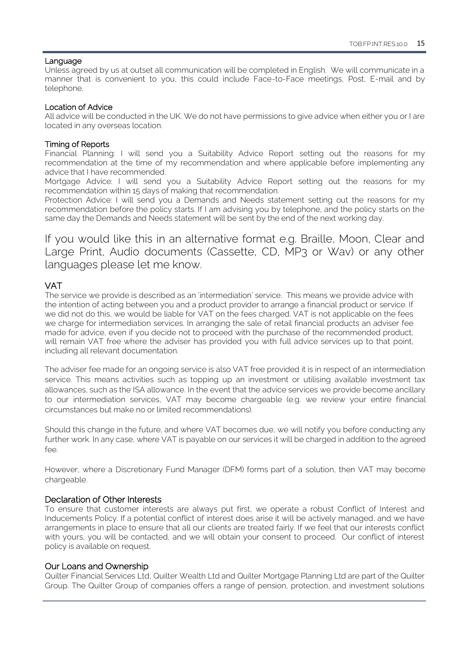#### Language

Unless agreed by us at outset all communication will be completed in English. We will communicate in a manner that is convenient to you, this could include Face-to-Face meetings, Post, E-mail and by telephone.

#### Location of Advice

All advice will be conducted in the UK. We do not have permissions to give advice when either you or I are located in any overseas location.

#### Timing of Reports

Financial Planning: I will send you a Suitability Advice Report setting out the reasons for my recommendation at the time of my recommendation and where applicable before implementing any advice that I have recommended.

Mortgage Advice: I will send you a Suitability Advice Report setting out the reasons for my recommendation within 15 days of making that recommendation.

Protection Advice: I will send you a Demands and Needs statement setting out the reasons for my recommendation before the policy starts. If I am advising you by telephone, and the policy starts on the same day the Demands and Needs statement will be sent by the end of the next working day.

If you would like this in an alternative format e.g. Braille, Moon, Clear and Large Print, Audio documents (Cassette, CD, MP3 or Wav) or any other languages please let me know.

## VAT

The service we provide is described as an 'intermediation' service. This means we provide advice with the intention of acting between you and a product provider to arrange a financial product or service. If we did not do this, we would be liable for VAT on the fees charged. VAT is not applicable on the fees we charge for intermediation services. In arranging the sale of retail financial products an adviser fee made for advice, even if you decide not to proceed with the purchase of the recommended product, will remain VAT free where the adviser has provided you with full advice services up to that point, including all relevant documentation.

The adviser fee made for an ongoing service is also VAT free provided it is in respect of an intermediation service. This means activities such as topping up an investment or utilising available investment tax allowances, such as the ISA allowance. In the event that the advice services we provide become ancillary to our intermediation services, VAT may become chargeable (e.g. we review your entire financial circumstances but make no or limited recommendations).

Should this change in the future, and where VAT becomes due, we will notify you before conducting any further work. In any case, where VAT is payable on our services it will be charged in addition to the agreed fee.

However, where a Discretionary Fund Manager (DFM) forms part of a solution, then VAT may become chargeable.

## Declaration of Other Interests

To ensure that customer interests are always put first, we operate a robust Conflict of Interest and Inducements Policy. If a potential conflict of interest does arise it will be actively managed, and we have arrangements in place to ensure that all our clients are treated fairly. If we feel that our interests conflict with yours, you will be contacted, and we will obtain your consent to proceed. Our conflict of interest policy is available on request.

#### Our Loans and Ownership

Quilter Financial Services Ltd, Quilter Wealth Ltd and Quilter Mortgage Planning Ltd are part of the Quilter Group. The Quilter Group of companies offers a range of pension, protection, and investment solutions